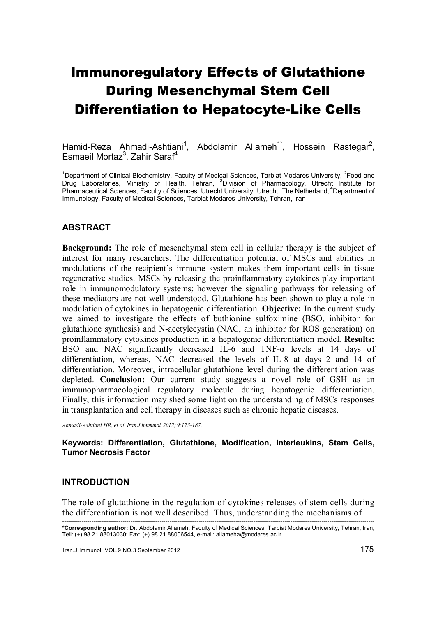# Immunoregulatory Effects of Glutathione During Mesenchymal Stem Cell Differentiation to Hepatocyte-Like Cells

Hamid-Reza Ahmadi-Ashtiani<sup>1</sup>, Abdolamir Allameh<sup>1\*</sup>, Hossein Rastegar<sup>2</sup>, Esmaeil Mortaz<sup>3</sup>, Zahir Saraf<sup>4</sup>

<sup>1</sup>Department of Clinical Biochemistry, Faculty of Medical Sciences, Tarbiat Modares University, <sup>2</sup>Food and Drug Laboratories, Ministry of Health, Tehran, <sup>3</sup>Division of Pharmacology, Utrecht Institute for Pharmaceutical Sciences, Faculty of Sciences, Utrecht University, Utrecht, The Netherland,<sup>4</sup>Department of Immunology, Faculty of Medical Sciences, Tarbiat Modares University, Tehran, Iran

# ABSTRACT

Background: The role of mesenchymal stem cell in cellular therapy is the subject of interest for many researchers. The differentiation potential of MSCs and abilities in modulations of the recipient's immune system makes them important cells in tissue regenerative studies. MSCs by releasing the proinflammatory cytokines play important role in immunomodulatory systems; however the signaling pathways for releasing of these mediators are not well understood. Glutathione has been shown to play a role in modulation of cytokines in hepatogenic differentiation. Objective: In the current study we aimed to investigate the effects of buthionine sulfoximine (BSO, inhibitor for glutathione synthesis) and N-acetylecystin (NAC, an inhibitor for ROS generation) on proinflammatory cytokines production in a hepatogenic differentiation model. Results: BSO and NAC significantly decreased IL-6 and TNF-α levels at 14 days of differentiation, whereas, NAC decreased the levels of IL-8 at days 2 and 14 of differentiation. Moreover, intracellular glutathione level during the differentiation was depleted. Conclusion: Our current study suggests a novel role of GSH as an immunopharmacological regulatory molecule during hepatogenic differentiation. Finally, this information may shed some light on the understanding of MSCs responses in transplantation and cell therapy in diseases such as chronic hepatic diseases.

*Ahmadi-Ashtiani HR, et al. Iran J Immunol. 2012; 9:175-187.* 

#### Keywords: Differentiation, Glutathione, Modification, Interleukins, Stem Cells, Tumor Necrosis Factor

#### INTRODUCTION

The role of glutathione in the regulation of cytokines releases of stem cells during the differentiation is not well described. Thus, understanding the mechanisms of

<sup>----------------------------------------------------------------------------------------------------------------------------------------------------------------</sup>  \*Corresponding author: Dr. Abdolamir Allameh, Faculty of Medical Sciences, Tarbiat Modares University, Tehran, Iran, Tell: (+) 98 21 88013030; Fax: (+) 98 21 88006544, e-mail: allameha@modares.ac.ir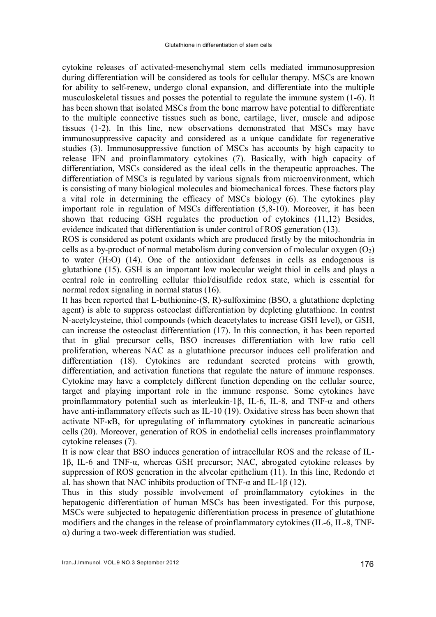cytokine releases of activated-mesenchymal stem cells mediated immunosuppresion during differentiation will be considered as tools for cellular therapy. MSCs are known for ability to self-renew, undergo clonal expansion, and differentiate into the multiple musculoskeletal tissues and posses the potential to regulate the immune system (1-6). It has been shown that isolated MSCs from the bone marrow have potential to differentiate to the multiple connective tissues such as bone, cartilage, liver, muscle and adipose tissues (1-2). In this line, new observations demonstrated that MSCs may have immunosuppressive capacity and considered as a unique candidate for regenerative studies (3). Immunosuppressive function of MSCs has accounts by high capacity to release IFN and proinflammatory cytokines (7). Basically, with high capacity of differentiation, MSCs considered as the ideal cells in the therapeutic approaches. The differentiation of MSCs is regulated by various signals from microenvironment, which is consisting of many biological molecules and biomechanical forces. These factors play a vital role in determining the efficacy of MSCs biology (6). The cytokines play important role in regulation of MSCs differentiation (5,8-10). Moreover, it has been shown that reducing GSH regulates the production of cytokines (11,12) Besides, evidence indicated that differentiation is under control of ROS generation (13).

ROS is considered as potent oxidants which are produced firstly by the mitochondria in cells as a by-product of normal metabolism during conversion of molecular oxygen  $(O_2)$ to water  $(H<sub>2</sub>O)$  (14). One of the antioxidant defenses in cells as endogenous is glutathione (15). GSH is an important low molecular weight thiol in cells and plays a central role in controlling cellular thiol/disulfide redox state, which is essential for normal redox signaling in normal status (16).

It has been reported that L-buthionine-(S, R)-sulfoximine (BSO, a glutathione depleting agent) is able to suppress osteoclast differentiation by depleting glutathione. In contrst N-acetylcysteine, thiol compounds (which deacetylates to increase GSH level), or GSH, can increase the osteoclast differentiation (17). In this connection, it has been reported that in glial precursor cells, BSO increases differentiation with low ratio cell proliferation, whereas NAC as a glutathione precursor induces cell proliferation and differentiation (18). Cytokines are redundant secreted proteins with growth, differentiation, and activation functions that regulate the nature of immune responses. Cytokine may have a completely different function depending on the cellular source, target and playing important role in the immune response. Some cytokines have proinflammatory potential such as interleukin-1β, IL-6, IL-8, and TNF- $\alpha$  and others have anti-inflammatory effects such as IL-10 (19). Oxidative stress has been shown that activate NF-κB, for upregulating of inflammatory cytokines in pancreatic acinarious cells (20). Moreover, generation of ROS in endothelial cells increases proinflammatory cytokine releases (7).

It is now clear that BSO induces generation of intracellular ROS and the release of IL-1β, IL-6 and TNF-α, whereas GSH precursor; NAC, abrogated cytokine releases by suppression of ROS generation in the alveolar epithelium (11). In this line, Redondo et al. has shown that NAC inhibits production of TNF- $\alpha$  and IL-1 $\beta$  (12).

Thus in this study possible involvement of proinflammatory cytokines in the hepatogenic differentiation of human MSCs has been investigated. For this purpose, MSCs were subjected to hepatogenic differentiation process in presence of glutathione modifiers and the changes in the release of proinflammatory cytokines (IL-6, IL-8, TNFα) during a two-week differentiation was studied.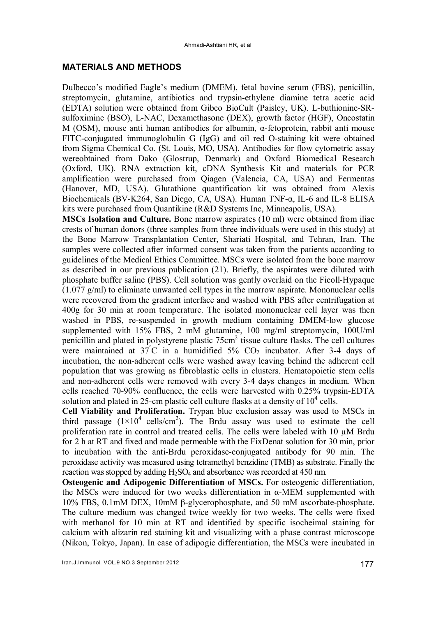# MATERIALS AND METHODS

Dulbecco's modified Eagle's medium (DMEM), fetal bovine serum (FBS), penicillin, streptomycin, glutamine, antibiotics and trypsin-ethylene diamine tetra acetic acid (EDTA) solution were obtained from Gibco BioCult (Paisley, UK). L-buthionine-SRsulfoximine (BSO), L-NAC, Dexamethasone (DEX), growth factor (HGF), Oncostatin M (OSM), mouse anti human antibodies for albumin, α-fetoprotein, rabbit anti mouse FITC-conjugated immunoglobulin G (IgG) and oil red O-staining kit were obtained from Sigma Chemical Co. (St. Louis, MO, USA). Antibodies for flow cytometric assay wereobtained from Dako (Glostrup, Denmark) and Oxford Biomedical Research (Oxford, UK). RNA extraction kit, cDNA Synthesis Kit and materials for PCR amplification were purchased from Qiagen (Valencia, CA, USA) and Fermentas (Hanover, MD, USA). Glutathione quantification kit was obtained from Alexis Biochemicals (BV-K264, San Diego, CA, USA). Human TNF-α, IL-6 and IL-8 ELISA kits were purchased from Quantikine (R&D Systems Inc, Minneapolis, USA).

MSCs Isolation and Culture. Bone marrow aspirates (10 ml) were obtained from iliac crests of human donors (three samples from three individuals were used in this study) at the Bone Marrow Transplantation Center, Shariati Hospital, and Tehran, Iran. The samples were collected after informed consent was taken from the patients according to guidelines of the Medical Ethics Committee. MSCs were isolated from the bone marrow as described in our previous publication (21). Briefly, the aspirates were diluted with phosphate buffer saline (PBS). Cell solution was gently overlaid on the Ficoll-Hypaque (1.077 g/ml) to eliminate unwanted cell types in the marrow aspirate. Mononuclear cells were recovered from the gradient interface and washed with PBS after centrifugation at 400g for 30 min at room temperature. The isolated mononuclear cell layer was then washed in PBS, re-suspended in growth medium containing DMEM-low glucose supplemented with 15% FBS, 2 mM glutamine, 100 mg/ml streptomycin, 100U/ml penicillin and plated in polystyrene plastic  $75 \text{cm}^2$  tissue culture flasks. The cell cultures were maintained at  $37^{\circ}$ C in a humidified  $5\%$  CO<sub>2</sub> incubator. After 3-4 days of incubation, the non-adherent cells were washed away leaving behind the adherent cell population that was growing as fibroblastic cells in clusters. Hematopoietic stem cells and non-adherent cells were removed with every 3-4 days changes in medium. When cells reached 70-90% confluence, the cells were harvested with 0.25% trypsin-EDTA solution and plated in 25-cm plastic cell culture flasks at a density of  $10^4$  cells.

Cell Viability and Proliferation. Trypan blue exclusion assay was used to MSCs in third passage  $(1 \times 10^4 \text{ cells/cm}^2)$ . The Brdu assay was used to estimate the cell proliferation rate in control and treated cells. The cells were labeled with 10 µM Brdu for 2 h at RT and fixed and made permeable with the FixDenat solution for 30 min, prior to incubation with the anti-Brdu peroxidase-conjugated antibody for 90 min. The peroxidase activity was measured using tetramethyl benzidine (TMB) as substrate. Finally the reaction was stopped by adding  $H_2SO_4$  and absorbance was recorded at 450 nm.

Osteogenic and Adipogenic Differentiation of MSCs. For osteogenic differentiation, the MSCs were induced for two weeks differentiation in α-MEM supplemented with 10% FBS, 0.1mM DEX, 10mM β-glycerophosphate, and 50 mM ascorbate-phosphate. The culture medium was changed twice weekly for two weeks. The cells were fixed with methanol for 10 min at RT and identified by specific isocheimal staining for calcium with alizarin red staining kit and visualizing with a phase contrast microscope (Nikon, Tokyo, Japan). In case of adipogic differentiation, the MSCs were incubated in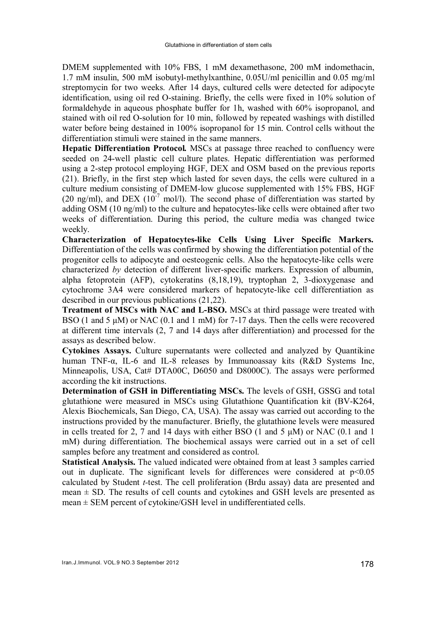DMEM supplemented with 10% FBS, 1 mM dexamethasone, 200 mM indomethacin, 1.7 mM insulin, 500 mM isobutyl-methylxanthine, 0.05U/ml penicillin and 0.05 mg/ml streptomycin for two weeks. After 14 days, cultured cells were detected for adipocyte identification, using oil red O-staining. Briefly, the cells were fixed in 10% solution of formaldehyde in aqueous phosphate buffer for 1h, washed with 60% isopropanol, and stained with oil red O-solution for 10 min, followed by repeated washings with distilled water before being destained in 100% isopropanol for 15 min. Control cells without the differentiation stimuli were stained in the same manners.

Hepatic Differentiation Protocol*.* MSCs at passage three reached to confluency were seeded on 24-well plastic cell culture plates. Hepatic differentiation was performed using a 2-step protocol employing HGF, DEX and OSM based on the previous reports (21). Briefly, in the first step which lasted for seven days, the cells were cultured in a culture medium consisting of DMEM-low glucose supplemented with 15% FBS, HGF (20 ng/ml), and DEX ( $10^{-7}$  mol/l). The second phase of differentiation was started by adding OSM (10 ng/ml) to the culture and hepatocytes-like cells were obtained after two weeks of differentiation. During this period, the culture media was changed twice weekly.

Characterization of Hepatocytes-like Cells Using Liver Specific Markers. Differentiation of the cells was confirmed by showing the differentiation potential of the progenitor cells to adipocyte and oesteogenic cells. Also the hepatocyte-like cells were characterized *by* detection of different liver-specific markers. Expression of albumin, alpha fetoprotein (AFP), cytokeratins (8,18,19), tryptophan 2, 3-dioxygenase and cytochrome 3A4 were considered markers of hepatocyte-like cell differentiation as described in our previous publications (21,22).

Treatment of MSCs with NAC and L-BSO. MSCs at third passage were treated with BSO (1 and 5 μM) or NAC (0.1 and 1 mM) for 7-17 days. Then the cells were recovered at different time intervals (2, 7 and 14 days after differentiation) and processed for the assays as described below.

Cytokines Assays. Culture supernatants were collected and analyzed by Quantikine human TNF-α, IL-6 and IL-8 releases by Immunoassay kits (R&D Systems Inc, Minneapolis, USA, Cat# DTA00C, D6050 and D8000C). The assays were performed according the kit instructions.

Determination of GSH in Differentiating MSCs. The levels of GSH, GSSG and total glutathione were measured in MSCs using Glutathione Quantification kit (BV-K264, Alexis Biochemicals, San Diego, CA, USA). The assay was carried out according to the instructions provided by the manufacturer. Briefly, the glutathione levels were measured in cells treated for 2, 7 and 14 days with either BSO  $(1 \text{ and } 5 \mu M)$  or NAC  $(0.1 \text{ and } 1$ mM) during differentiation. The biochemical assays were carried out in a set of cell samples before any treatment and considered as control.

Statistical Analysis. The valued indicated were obtained from at least 3 samples carried out in duplicate. The significant levels for differences were considered at  $p<0.05$ calculated by Student *t-*test. The cell proliferation (Brdu assay) data are presented and mean  $\pm$  SD. The results of cell counts and cytokines and GSH levels are presented as mean  $\pm$  SEM percent of cytokine/GSH level in undifferentiated cells.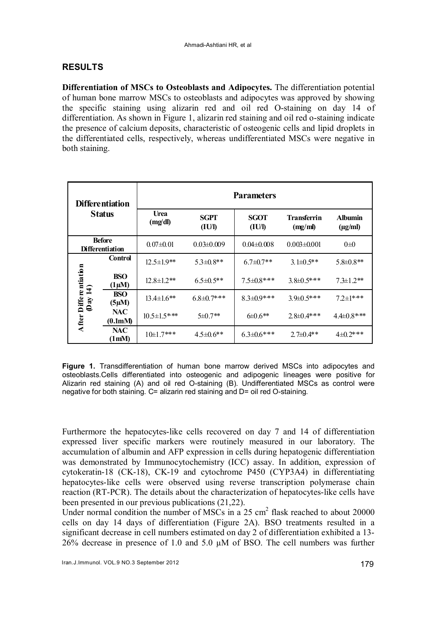# RESULTS

Differentiation of MSCs to Osteoblasts and Adipocytes. The differentiation potential of human bone marrow MSCs to osteoblasts and adipocytes was approved by showing the specific staining using alizarin red and oil red O-staining on day 14 of differentiation. As shown in Figure 1, alizarin red staining and oil red o-staining indicate the presence of calcium deposits, characteristic of osteogenic cells and lipid droplets in the differentiated cells, respectively, whereas undifferentiated MSCs were negative in both staining.

| <b>Differentiation</b><br><b>Status</b> |                           | <b>Parameters</b>  |                   |                       |                               |                                |
|-----------------------------------------|---------------------------|--------------------|-------------------|-----------------------|-------------------------------|--------------------------------|
|                                         |                           | Urea<br>(mg/dl)    | SGPT<br>(IU/I)    | <b>SGOT</b><br>(IU/I) | <b>Transferrin</b><br>(mg/ml) | <b>Albumin</b><br>$(\mu g/ml)$ |
| <b>Before</b><br><b>Differentiation</b> |                           | $0.07 \pm 0.01$    | $0.03 \pm 0.009$  | $0.04 \pm 0.008$      | $0.003 \pm 0.001$             | $0\pm 0$                       |
| After Differentiation<br>(Day 14)       | Control                   | $12.5 \pm 1.9**$   | $5.3 \pm 0.8$ **  | $6.7 \pm 0.7$ **      | $3.1\pm0.5**$                 | $5.8 \pm 0.8**$                |
|                                         | <b>BSO</b><br>$(1 \mu M)$ | $12.8 \pm 1.2$ **  | $6.5 \pm 0.5$ **  | $7.5 \pm 0.8$ ***     | $3.8\pm 0.5$ ***              | $7.3 \pm 1.2$ **               |
|                                         | <b>BSO</b><br>$(5 \mu M)$ | $13.4 \pm 1.6$ **  | $6.8 \pm 0.7$ *** | $8.3 \pm 0.9$ ***     | $3.9\pm0.5***$                | $72\pm1***$                    |
|                                         | NAC<br>(0.1mM)            | $10.5 \pm 1.5$ *** | $5 \pm 0.7**$     | $6\pm 0.6**$          | $2.8 \pm 0.4$ ***             | $4.4\pm0.8$ ***                |
|                                         | <b>NAC</b><br>(1mM)       | $10 \pm 1.7$ ***   | $4.5 \pm 0.6$ **  | $6.3 \pm 0.6$ ***     | $2.7 \pm 0.4$ **              | $4\pm 0.2$ ***                 |

Figure 1. Transdifferentiation of human bone marrow derived MSCs into adipocytes and osteoblasts.Cells differentiated into osteogenic and adipogenic lineages were positive for Alizarin red staining (A) and oil red O-staining (B). Undifferentiated MSCs as control were negative for both staining. C= alizarin red staining and D= oil red O-staining.

Furthermore the hepatocytes-like cells recovered on day 7 and 14 of differentiation expressed liver specific markers were routinely measured in our laboratory. The accumulation of albumin and AFP expression in cells during hepatogenic differentiation was demonstrated by Immunocytochemistry (ICC) assay. In addition, expression of cytokeratin-18 (CK-18), CK-19 and cytochrome P450 (CYP3A4) in differentiating hepatocytes-like cells were observed using reverse transcription polymerase chain reaction (RT-PCR). The details about the characterization of hepatocytes-like cells have been presented in our previous publications (21,22).

Under normal condition the number of MSCs in a  $25 \text{ cm}^2$  flask reached to about 20000 cells on day 14 days of differentiation (Figure 2A). BSO treatments resulted in a significant decrease in cell numbers estimated on day 2 of differentiation exhibited a 13- 26% decrease in presence of 1.0 and 5.0 µM of BSO. The cell numbers was further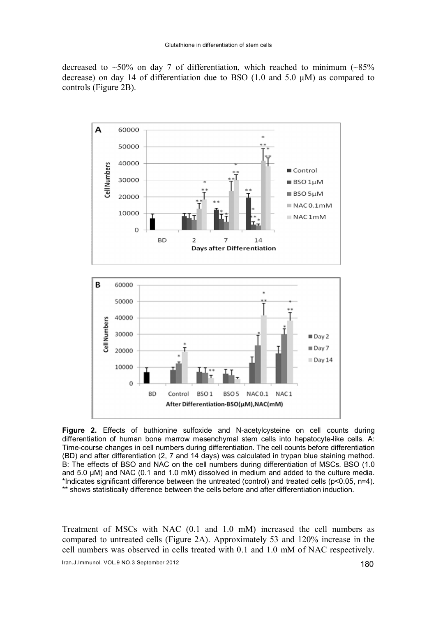decreased to  $~50\%$  on day 7 of differentiation, which reached to minimum ( $~85\%$ ) decrease) on day 14 of differentiation due to BSO (1.0 and 5.0 µM) as compared to controls (Figure 2B).



Figure 2. Effects of buthionine sulfoxide and N-acetylcysteine on cell counts during differentiation of human bone marrow mesenchymal stem cells into hepatocyte-like cells. A: Time-course changes in cell numbers during differentiation. The cell counts before differentiation (BD) and after differentiation (2, 7 and 14 days) was calculated in trypan blue staining method. B: The effects of BSO and NAC on the cell numbers during differentiation of MSCs. BSO (1.0 and 5.0  $\mu$ M) and NAC (0.1 and 1.0 mM) dissolved in medium and added to the culture media. \*Indicates significant difference between the untreated (control) and treated cells (p<0.05, n=4). \*\* shows statistically difference between the cells before and after differentiation induction.

Treatment of MSCs with NAC (0.1 and 1.0 mM) increased the cell numbers as compared to untreated cells (Figure 2A). Approximately 53 and 120% increase in the cell numbers was observed in cells treated with 0.1 and 1.0 mM of NAC respectively.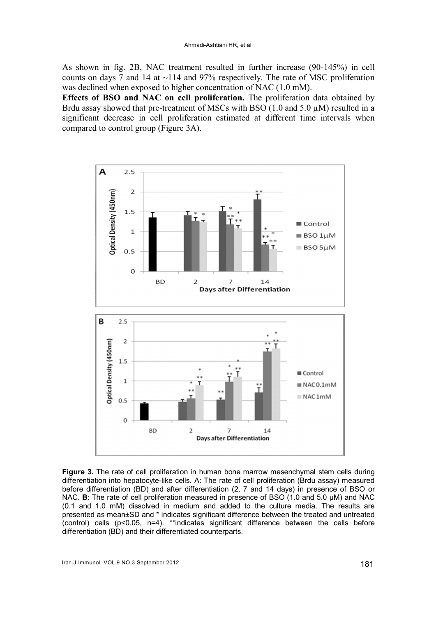As shown in fig. 2B, NAC treatment resulted in further increase (90-145%) in cell counts on days 7 and 14 at  $\sim$ 114 and 97% respectively. The rate of MSC proliferation was declined when exposed to higher concentration of NAC (1.0 mM).

Effects of BSO and NAC on cell proliferation. The proliferation data obtained by Brdu assay showed that pre-treatment of MSCs with BSO  $(1.0 \text{ and } 5.0 \mu\text{M})$  resulted in a significant decrease in cell proliferation estimated at different time intervals when compared to control group (Figure 3A).



Figure 3. The rate of cell proliferation in human bone marrow mesenchymal stem cells during differentiation into hepatocyte-like cells. A: The rate of cell proliferation (Brdu assay) measured before differentiation (BD) and after differentiation (2, 7 and 14 days) in presence of BSO or NAC. **B**: The rate of cell proliferation measured in presence of BSO (1.0 and 5.0 µM) and NAC (0.1 and 1.0 mM) dissolved in medium and added to the culture media. The results are presented as mean±SD and \* indicates significant difference between the treated and untreated (control) cells (p<0.05, n=4). \*\*indicates significant difference between the cells before differentiation (BD) and their differentiated counterparts.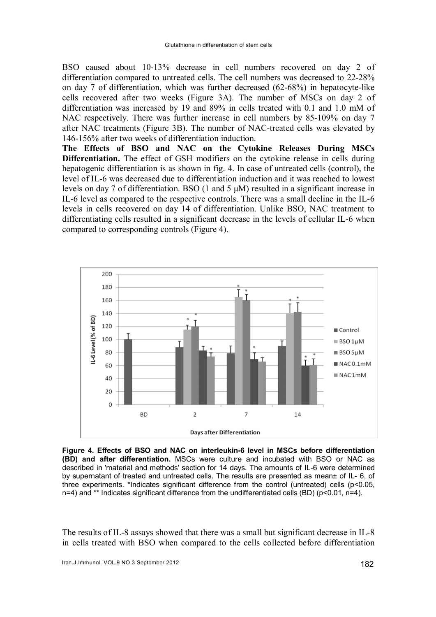BSO caused about 10-13% decrease in cell numbers recovered on day 2 of differentiation compared to untreated cells. The cell numbers was decreased to 22-28% on day 7 of differentiation, which was further decreased (62-68%) in hepatocyte-like cells recovered after two weeks (Figure 3A). The number of MSCs on day 2 of differentiation was increased by 19 and 89% in cells treated with 0.1 and 1.0 mM of NAC respectively. There was further increase in cell numbers by 85-109% on day 7 after NAC treatments (Figure 3B). The number of NAC-treated cells was elevated by 146-156% after two weeks of differentiation induction.

The Effects of BSO and NAC on the Cytokine Releases During MSCs Differentiation. The effect of GSH modifiers on the cytokine release in cells during hepatogenic differentiation is as shown in fig. 4. In case of untreated cells (control), the level of IL-6 was decreased due to differentiation induction and it was reached to lowest levels on day 7 of differentiation. BSO (1 and 5 μM) resulted in a significant increase in IL-6 level as compared to the respective controls. There was a small decline in the IL-6 levels in cells recovered on day 14 of differentiation. Unlike BSO, NAC treatment to differentiating cells resulted in a significant decrease in the levels of cellular IL-6 when compared to corresponding controls (Figure 4).



Figure 4. Effects of BSO and NAC on interleukin-6 level in MSCs before differentiation (BD) and after differentiation. MSCs were culture and incubated with BSO or NAC as described in 'material and methods' section for 14 days. The amounts of IL-6 were determined by supernatant of treated and untreated cells. The results are presented as mean± of IL- 6, of three experiments. \*Indicates significant difference from the control (untreated) cells (p<0.05, n=4) and \*\* Indicates significant difference from the undifferentiated cells (BD) (p<0.01, n=4).

The results of IL-8 assays showed that there was a small but significant decrease in IL-8 in cells treated with BSO when compared to the cells collected before differentiation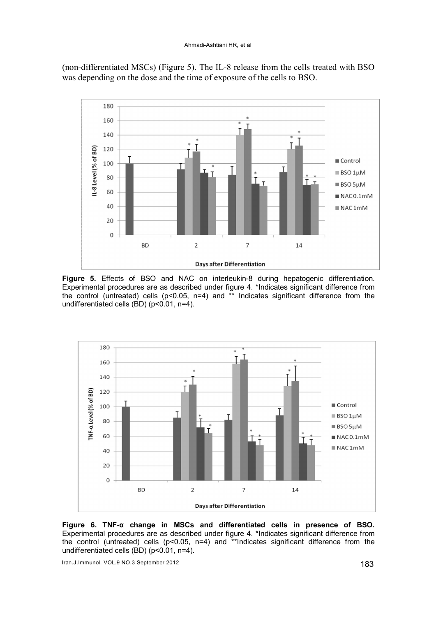(non-differentiated MSCs) (Figure 5). The IL-8 release from the cells treated with BSO was depending on the dose and the time of exposure of the cells to BSO.



Figure 5. Effects of BSO and NAC on interleukin-8 during hepatogenic differentiation. Experimental procedures are as described under figure 4. \*Indicates significant difference from the control (untreated) cells (p<0.05, n=4) and \*\* Indicates significant difference from the undifferentiated cells (BD) (p<0.01, n=4).



Figure 6. TNF-α change in MSCs and differentiated cells in presence of BSO. Experimental procedures are as described under figure 4. \*Indicates significant difference from the control (untreated) cells (p<0.05, n=4) and \*\*Indicates significant difference from the undifferentiated cells (BD) (p<0.01, n=4).

Iran.J.Immunol. VOL.9 NO.3 September 2012 183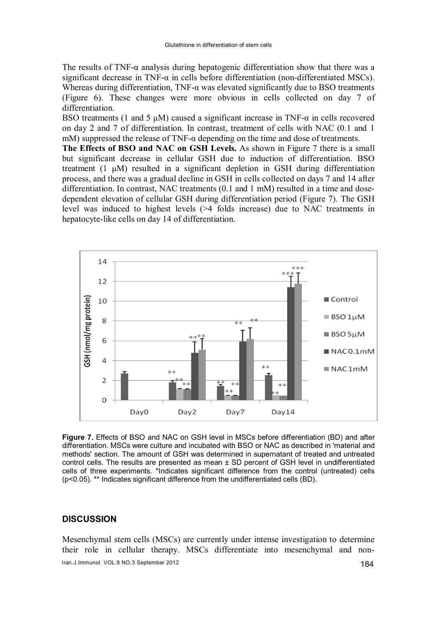The results of TNF-α analysis during hepatogenic differentiation show that there was a significant decrease in TNF-α in cells before differentiation (non-differentiated MSCs). Whereas during differentiation,  $TNF-\alpha$  was elevated significantly due to BSO treatments (Figure 6). These changes were more obvious in cells collected on day 7 of differentiation.

BSO treatments (1 and 5  $\mu$ M) caused a significant increase in TNF- $\alpha$  in cells recovered on day 2 and 7 of differentiation. In contrast, treatment of cells with NAC (0.1 and 1 mM) suppressed the release of TNF-α depending on the time and dose of treatments.

The Effects of BSO and NAC on GSH Levels. As shown in Figure 7 there is a small but significant decrease in cellular GSH due to induction of differentiation. BSO treatment (1 μM) resulted in a significant depletion in GSH during differentiation process, and there was a gradual decline in GSH in cells collected on days 7 and 14 after differentiation. In contrast, NAC treatments (0.1 and 1 mM) resulted in a time and dosedependent elevation of cellular GSH during differentiation period (Figure 7). The GSH level was induced to highest levels (>4 folds increase) due to NAC treatments in hepatocyte-like cells on day 14 of differentiation.



Figure 7. Effects of BSO and NAC on GSH level in MSCs before differentiation (BD) and after differentiation. MSCs were culture and incubated with BSO or NAC as described in 'material and methods' section. The amount of GSH was determined in supernatant of treated and untreated control cells. The results are presented as mean ± SD percent of GSH level in undifferentiated cells of three experiments. \*Indicates significant difference from the control (untreated) cells (p<0.05). \*\* Indicates significant difference from the undifferentiated cells (BD).

# **DISCUSSION**

Mesenchymal stem cells (MSCs) are currently under intense investigation to determine their role in cellular therapy. MSCs differentiate into mesenchymal and non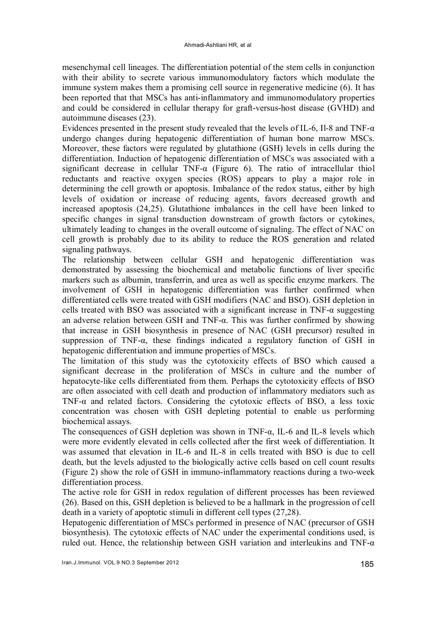mesenchymal cell lineages. The differentiation potential of the stem cells in conjunction with their ability to secrete various immunomodulatory factors which modulate the immune system makes them a promising cell source in regenerative medicine (6). It has been reported that that MSCs has anti-inflammatory and immunomodulatory properties and could be considered in cellular therapy for graft-versus-host disease (GVHD) and autoimmune diseases (23).

Evidences presented in the present study revealed that the levels of IL-6, Il-8 and TNF- $\alpha$ undergo changes during hepatogenic differentiation of human bone marrow MSCs. Moreover, these factors were regulated by glutathione (GSH) levels in cells during the differentiation. Induction of hepatogenic differentiation of MSCs was associated with a significant decrease in cellular TNF-α (Figure 6). The ratio of intracellular thiol reductants and reactive oxygen species (ROS) appears to play a major role in determining the cell growth or apoptosis. Imbalance of the redox status, either by high levels of oxidation or increase of reducing agents, favors decreased growth and increased apoptosis (24,25). Glutathione imbalances in the cell have been linked to specific changes in signal transduction downstream of growth factors or cytokines, ultimately leading to changes in the overall outcome of signaling. The effect of NAC on cell growth is probably due to its ability to reduce the ROS generation and related signaling pathways.

The relationship between cellular GSH and hepatogenic differentiation was demonstrated by assessing the biochemical and metabolic functions of liver specific markers such as albumin, transferrin, and urea as well as specific enzyme markers. The involvement of GSH in hepatogenic differentiation was further confirmed when differentiated cells were treated with GSH modifiers (NAC and BSO). GSH depletion in cells treated with BSO was associated with a significant increase in TNF- $\alpha$  suggesting an adverse relation between GSH and TNF-α. This was further confirmed by showing that increase in GSH biosynthesis in presence of NAC (GSH precursor) resulted in suppression of TNF- $\alpha$ , these findings indicated a regulatory function of GSH in hepatogenic differentiation and immune properties of MSCs.

The limitation of this study was the cytotoxicity effects of BSO which caused a significant decrease in the proliferation of MSCs in culture and the number of hepatocyte-like cells differentiated from them. Perhaps the cytotoxicity effects of BSO are often associated with cell death and production of inflammatory mediators such as TNF-α and related factors. Considering the cytotoxic effects of BSO, a less toxic concentration was chosen with GSH depleting potential to enable us performing biochemical assays.

The consequences of GSH depletion was shown in TNF-α, IL-6 and IL-8 levels which were more evidently elevated in cells collected after the first week of differentiation. It was assumed that elevation in IL-6 and IL-8 in cells treated with BSO is due to cell death, but the levels adjusted to the biologically active cells based on cell count results (Figure 2) show the role of GSH in immuno-inflammatory reactions during a two-week differentiation process.

The active role for GSH in redox regulation of different processes has been reviewed (26). Based on this, GSH depletion is believed to be a hallmark in the progression of cell death in a variety of apoptotic stimuli in different cell types (27,28).

Hepatogenic differentiation of MSCs performed in presence of NAC (precursor of GSH biosynthesis). The cytotoxic effects of NAC under the experimental conditions used, is ruled out. Hence, the relationship between GSH variation and interleukins and TNF- $\alpha$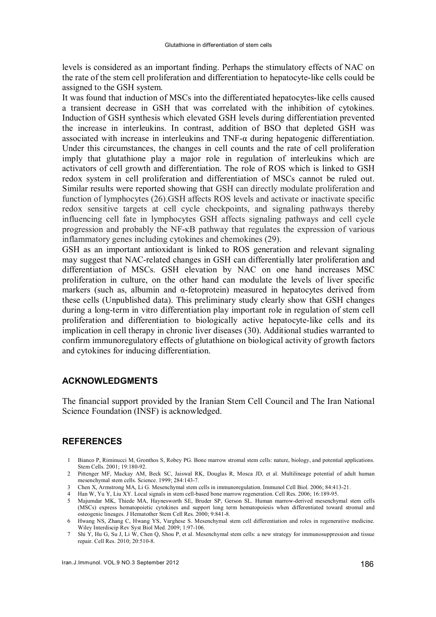levels is considered as an important finding. Perhaps the stimulatory effects of NAC on the rate of the stem cell proliferation and differentiation to hepatocyte-like cells could be assigned to the GSH system.

It was found that induction of MSCs into the differentiated hepatocytes-like cells caused a transient decrease in GSH that was correlated with the inhibition of cytokines. Induction of GSH synthesis which elevated GSH levels during differentiation prevented the increase in interleukins. In contrast, addition of BSO that depleted GSH was associated with increase in interleukins and TNF-α during hepatogenic differentiation. Under this circumstances, the changes in cell counts and the rate of cell proliferation imply that glutathione play a major role in regulation of interleukins which are activators of cell growth and differentiation. The role of ROS which is linked to GSH redox system in cell proliferation and differentiation of MSCs cannot be ruled out. Similar results were reported showing that GSH can directly modulate proliferation and function of lymphocytes (26).GSH affects ROS levels and activate or inactivate specific redox sensitive targets at cell cycle checkpoints, and signaling pathways thereby influencing cell fate in lymphocytes GSH affects signaling pathways and cell cycle progression and probably the NF-κB pathway that regulates the expression of various inflammatory genes including cytokines and chemokines (29).

GSH as an important antioxidant is linked to ROS generation and relevant signaling may suggest that NAC-related changes in GSH can differentially later proliferation and differentiation of MSCs. GSH elevation by NAC on one hand increases MSC proliferation in culture, on the other hand can modulate the levels of liver specific markers (such as, albumin and  $\alpha$ -fetoprotein) measured in hepatocytes derived from these cells (Unpublished data). This preliminary study clearly show that GSH changes during a long-term in vitro differentiation play important role in regulation of stem cell proliferation and differentiation to biologically active hepatocyte-like cells and its implication in cell therapy in chronic liver diseases (30). Additional studies warranted to confirm immunoregulatory effects of glutathione on biological activity of growth factors and cytokines for inducing differentiation.

# ACKNOWLEDGMENTS

The financial support provided by the Iranian Stem Cell Council and The Iran National Science Foundation (INSF) is acknowledged.

# REFERENCES

- 1 Bianco P, Riminucci M, Gronthos S, Robey PG. Bone marrow stromal stem cells: nature, biology, and potential applications. Stem Cells. 2001; 19:180-92.
- 2 Pittenger MF, Mackay AM, Beck SC, Jaiswal RK, Douglas R, Mosca JD, et al. Multilineage potential of adult human mesenchymal stem cells. Science. 1999; 284:143-7.
- 3 Chen X, Armstrong MA, Li G. Mesenchymal stem cells in immunoregulation. Immunol Cell Biol. 2006; 84:413-21.
- 4 Han W, Yu Y, Liu XY. Local signals in stem cell-based bone marrow regeneration. Cell Res. 2006; 16:189-95. 5 Majumdar MK, Thiede MA, Haynesworth SE, Bruder SP, Gerson SL. Human marrow-derived mesenchymal stem cells (MSCs) express hematopoietic cytokines and support long term hematopoiesis when differentiated toward stromal and
- osteogenic lineages. J Hematother Stem Cell Res. 2000; 9:841-8. 6 Hwang NS, Zhang C, Hwang YS, Varghese S. Mesenchymal stem cell differentiation and roles in regenerative medicine. Wiley Interdiscip Rev Syst Biol Med. 2009; 1:97-106.
- 7 Shi Y, Hu G, Su J, Li W, Chen Q, Shou P, et al. Mesenchymal stem cells: a new strategy for immunosuppression and tissue repair. Cell Res. 2010; 20:510-8.